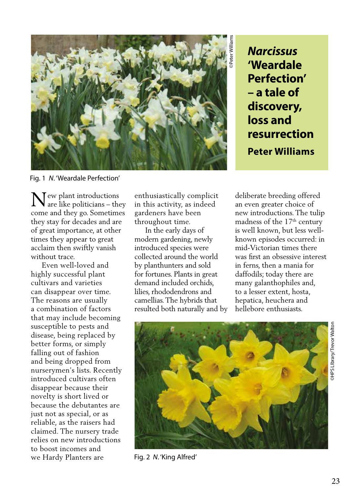

**'Weardale Perfection' – a tale of discovery, loss and resurrection Peter Williams**

Fig. 1 *N*. 'Weardale Perfection'

 $\mathbf N$ ew plant introductions<br>are like politicians – the are like politicians – they come and they go. Sometimes they stay for decades and are of great importance, at other times they appear to great acclaim then swiftly vanish without trace.

 Even well-loved and highly successful plant cultivars and varieties can disappear over time. The reasons are usually a combination of factors that may include becoming susceptible to pests and disease, being replaced by better forms, or simply falling out of fashion and being dropped from nurserymen's lists. Recently introduced cultivars often disappear because their novelty is short lived or because the debutantes are just not as special, or as reliable, as the raisers had claimed. The nursery trade relies on new introductions to boost incomes and we Hardy Planters are

enthusiastically complicit in this activity, as indeed gardeners have been throughout time.

 In the early days of modern gardening, newly introduced species were collected around the world by planthunters and sold for fortunes. Plants in great demand included orchids, lilies, rhododendrons and camellias. The hybrids that resulted both naturally and by

deliberate breeding offered an even greater choice of new introductions. The tulip madness of the 17<sup>th</sup> century is well known, but less wellknown episodes occurred: in mid-Victorian times there was first an obsessive interest in ferns, then a mania for daffodils; today there are many galanthophiles and, to a lesser extent, hosta, hepatica, heuchera and hellebore enthusiasts.



Fig. 2 *N*. 'King Alfred'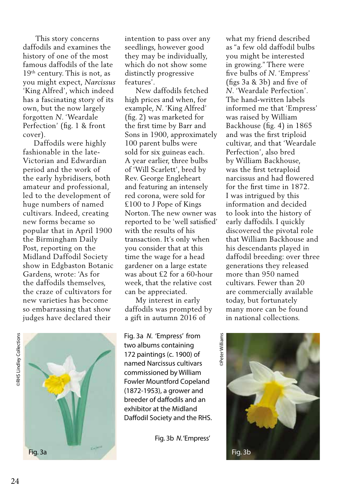This story concerns daffodils and examines the history of one of the most famous daffodils of the late 19th century. This is not, as you might expect, *Narcissus* 'King Alfred', which indeed has a fascinating story of its own, but the now largely forgotten *N*. 'Weardale Perfection' (fig. 1 & front cover).

 Daffodils were highly fashionable in the late-Victorian and Edwardian period and the work of the early hybridisers, both amateur and professional, led to the development of huge numbers of named cultivars. Indeed, creating new forms became so popular that in April 1900 the Birmingham Daily Post, reporting on the Midland Daffodil Society show in Edgbaston Botanic Gardens, wrote: 'As for the daffodils themselves, the craze of cultivators for new varieties has become so embarrassing that show judges have declared their

**RHS Lindley Collections** ©RHS Lindley Collections



intention to pass over any seedlings, however good they may be individually, which do not show some distinctly progressive features'.

 New daffodils fetched high prices and when, for example, *N*. 'King Alfred' (fig. 2) was marketed for the first time by Barr and Sons in 1900, approximately 100 parent bulbs were sold for six guineas each. A year earlier, three bulbs of 'Will Scarlett', bred by Rev. George Engleheart and featuring an intensely red corona, were sold for £100 to J Pope of Kings Norton. The new owner was reported to be 'well satisfied' with the results of his transaction. It's only when you consider that at this time the wage for a head gardener on a large estate was about £2 for a 60-hour week, that the relative cost can be appreciated.

 My interest in early daffodils was prompted by a gift in autumn 2016 of

Fig. 3a *N*. 'Empress' from two albums containing 172 paintings (c. 1900) of named Narcissus cultivars commissioned by William Fowler Mountford Copeland (1872-1953), a grower and breeder of daffodils and an exhibitor at the Midland Daffodil Society and the RHS.

Fig. 3b *N*. 'Empress'

what my friend described as "a few old daffodil bulbs you might be interested in growing." There were five bulbs of *N*. 'Empress' (figs 3a & 3b) and five of *N*. 'Weardale Perfection'. The hand-written labels informed me that 'Empress' was raised by William Backhouse (fig. 4) in 1865 and was the first triploid cultivar, and that 'Weardale Perfection', also bred by William Backhouse, was the first tetraploid narcissus and had flowered for the first time in 1872. I was intrigued by this information and decided to look into the history of early daffodils. I quickly discovered the pivotal role that William Backhouse and his descendants played in daffodil breeding: over three generations they released more than 950 named cultivars. Fewer than 20 are commercially available today, but fortunately many more can be found in national collections.

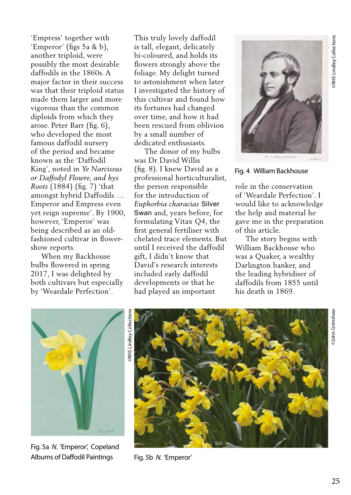'Empress' together with 'Emperor' (figs 5a & b), another triploid, were possibly the most desirable daffodils in the 1860s. A major factor in their success was that their triploid status made them larger and more vigorous than the common diploids from which they arose. Peter Barr (fig. 6), who developed the most famous daffodil nursery of the period and became known as the 'Daffodil King', noted in *Ye Narcissus or Daffodyl Flowre*, *and hys Roots* (1884) (fig. 7) 'that amongst hybrid Daffodils … Emperor and Empress even yet reign supreme'. By 1900, however, 'Emperor' was being described as an oldfashioned cultivar in flowershow reports.

 When my Backhouse bulbs flowered in spring 2017, I was delighted by both cultivars but especially by 'Weardale Perfection'.

This truly lovely daffodil is tall, elegant, delicately bi-coloured, and holds its flowers strongly above the foliage. My delight turned to astonishment when later I investigated the history of this cultivar and found how its fortunes had changed over time, and how it had been rescued from oblivion by a small number of dedicated enthusiasts.

 The donor of my bulbs was Dr David Willis (fig. 8). I knew David as a professional horticulturalist, the person responsible for the introduction of *Euphorbia characias* Silver Swan and, years before, for formulating Vitax Q4, the first general fertiliser with chelated trace elements. But until I received the daffodil gift, I didn't know that David's research interests included early daffodil developments or that he had played an important



Fig. 4 William Backhouse

role in the conservation of 'Weardale Perfection'. I would like to acknowledge the help and material he gave me in the preparation of this article.

 The story begins with William Backhouse who was a Quaker, a wealthy Darlington banker, and the leading hybridiser of daffodils from 1855 until his death in 1869.



Fig. 5a *N*. 'Emperor', Copeland Albums of Daffodil Paintings



Fig. 5b *N*. 'Emperor'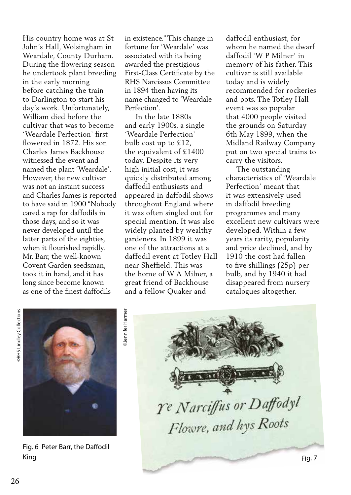His country home was at St John's Hall, Wolsingham in Weardale, County Durham. During the flowering season he undertook plant breeding in the early morning before catching the train to Darlington to start his day's work. Unfortunately, William died before the cultivar that was to become 'Weardale Perfection' first flowered in 1872. His son Charles James Backhouse witnessed the event and named the plant 'Weardale'. However, the new cultivar was not an instant success and Charles James is reported to have said in 1900 "Nobody cared a rap for daffodils in those days, and so it was never developed until the latter parts of the eighties, when it flourished rapidly. Mr. Barr, the well-known Covent Garden seedsman, took it in hand, and it has long since become known as one of the finest daffodils

in existence." This change in fortune for 'Weardale' was associated with its being awarded the prestigious First-Class Certificate by the RHS Narcissus Committee in 1894 then having its name changed to 'Weardale Perfection'.

 In the late 1880s and early 1900s, a single 'Weardale Perfection' bulb cost up to £12, the equivalent of £1400 today. Despite its very high initial cost, it was quickly distributed among daffodil enthusiasts and appeared in daffodil shows throughout England where it was often singled out for special mention. It was also widely planted by wealthy gardeners. In 1899 it was one of the attractions at a daffodil event at Totley Hall near Sheffield. This was the home of W A Milner, a great friend of Backhouse and a fellow Quaker and

daffodil enthusiast, for whom he named the dwarf daffodil 'W P Milner' in memory of his father. This cultivar is still available today and is widely recommended for rockeries and pots. The Totley Hall event was so popular that 4000 people visited the grounds on Saturday 6th May 1899, when the Midland Railway Company put on two special trains to carry the visitors.

 The outstanding characteristics of 'Weardale Perfection' meant that it was extensively used in daffodil breeding programmes and many excellent new cultivars were developed. Within a few years its rarity, popularity and price declined, and by 1910 the cost had fallen to five shillings (25p) per bulb, and by 1940 it had disappeared from nursery catalogues altogether.

 $26$ **PRHS Lindley Collections** 



Fig. 6 Peter Barr, the Daffodil King Fig. 7

©Jennifer Harmer **Dennifer Harmer** 

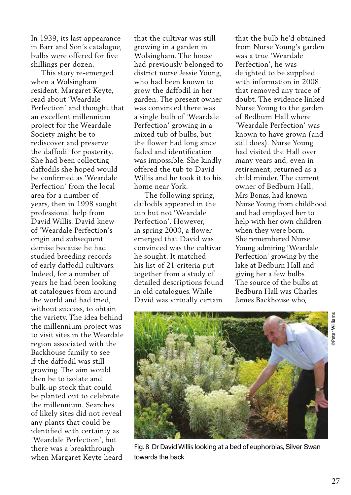In 1939, its last appearance in Barr and Son's catalogue, bulbs were offered for five shillings per dozen.

 This story re-emerged when a Wolsingham resident, Margaret Keyte, read about 'Weardale Perfection' and thought that an excellent millennium project for the Weardale Society might be to rediscover and preserve the daffodil for posterity. She had been collecting daffodils she hoped would be confirmed as 'Weardale Perfection' from the local area for a number of years, then in 1998 sought professional help from David Willis. David knew of 'Weardale Perfection's origin and subsequent demise because he had studied breeding records of early daffodil cultivars. Indeed, for a number of years he had been looking at catalogues from around the world and had tried, without success, to obtain the variety. The idea behind the millennium project was to visit sites in the Weardale region associated with the Backhouse family to see if the daffodil was still growing. The aim would then be to isolate and bulk-up stock that could be planted out to celebrate the millennium. Searches of likely sites did not reveal any plants that could be identified with certainty as 'Weardale Perfection', but there was a breakthrough when Margaret Keyte heard

that the cultivar was still growing in a garden in Wolsingham. The house had previously belonged to district nurse Jessie Young, who had been known to grow the daffodil in her garden. The present owner was convinced there was a single bulb of 'Weardale Perfection' growing in a mixed tub of bulbs, but the flower had long since faded and identification was impossible. She kindly offered the tub to David Willis and he took it to his home near York.

 The following spring, daffodils appeared in the tub but not 'Weardale Perfection'. However, in spring 2000, a flower emerged that David was convinced was the cultivar he sought. It matched his list of 21 criteria put together from a study of detailed descriptions found in old catalogues. While David was virtually certain

that the bulb he'd obtained from Nurse Young's garden was a true 'Weardale Perfection', he was delighted to be supplied with information in 2008 that removed any trace of doubt. The evidence linked Nurse Young to the garden of Bedburn Hall where 'Weardale Perfection' was known to have grown (and still does). Nurse Young had visited the Hall over many years and, even in retirement, returned as a child minder. The current owner of Bedburn Hall, Mrs Bonas, had known Nurse Young from childhood and had employed her to help with her own children when they were born. She remembered Nurse Young admiring 'Weardale Perfection' growing by the lake at Bedburn Hall and giving her a few bulbs. The source of the bulbs at Bedburn Hall was Charles James Backhouse who,



Fig. 8 Dr David Willis looking at a bed of euphorbias, Silver Swan towards the back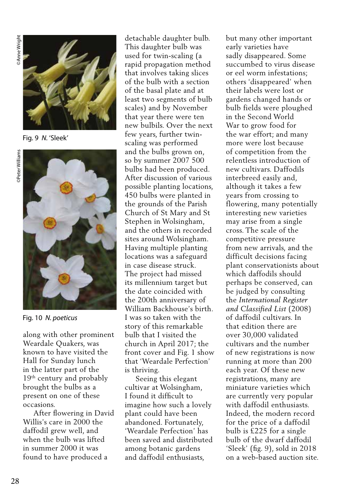286 ©Peter Williams ©Anne Wright **DAnne Wright** 



Fig. 9 *N.* 'Sleek'



Fig. 10 *N. poeticus*

along with other prominent Weardale Quakers, was known to have visited the Hall for Sunday lunch in the latter part of the 19<sup>th</sup> century and probably brought the bulbs as a present on one of these occasions.

 After flowering in David Willis's care in 2000 the daffodil grew well, and when the bulb was lifted in summer 2000 it was found to have produced a

detachable daughter bulb. This daughter bulb was used for twin-scaling (a rapid propagation method that involves taking slices of the bulb with a section of the basal plate and at least two segments of bulb scales) and by November that year there were ten new bulbils. Over the next few years, further twinscaling was performed and the bulbs grown on, so by summer 2007 500 bulbs had been produced. After discussion of various possible planting locations, 450 bulbs were planted in the grounds of the Parish Church of St Mary and St Stephen in Wolsingham, and the others in recorded sites around Wolsingham. Having multiple planting locations was a safeguard in case disease struck. The project had missed its millennium target but the date coincided with the 200th anniversary of William Backhouse's birth. I was so taken with the story of this remarkable bulb that I visited the church in April 2017; the front cover and Fig. 1 show that 'Weardale Perfection' is thriving.

 Seeing this elegant cultivar at Wolsingham, I found it difficult to imagine how such a lovely plant could have been abandoned. Fortunately, 'Weardale Perfection' has been saved and distributed among botanic gardens and daffodil enthusiasts,

but many other important early varieties have sadly disappeared. Some succumbed to virus disease or eel worm infestations; others 'disappeared' when their labels were lost or gardens changed hands or bulb fields were ploughed in the Second World War to grow food for the war effort; and many more were lost because of competition from the relentless introduction of new cultivars. Daffodils interbreed easily and, although it takes a few years from crossing to flowering, many potentially interesting new varieties may arise from a single cross. The scale of the competitive pressure from new arrivals, and the difficult decisions facing plant conservationists about which daffodils should perhaps be conserved, can be judged by consulting the *International Register and Classified List* (2008) of daffodil cultivars. In that edition there are over 30,000 validated cultivars and the number of new registrations is now running at more than 200 each year. Of these new registrations, many are miniature varieties which are currently very popular with daffodil enthusiasts. Indeed, the modern record for the price of a daffodil bulb is £225 for a single bulb of the dwarf daffodil 'Sleek' (fig. 9), sold in 2018 on a web-based auction site.